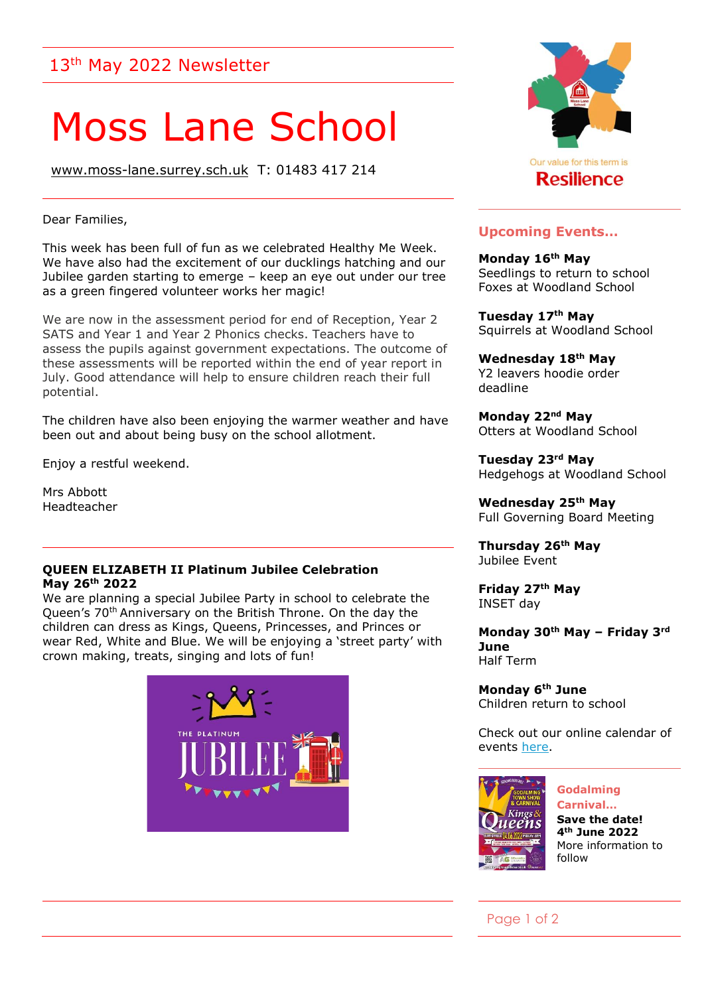## 13<sup>th</sup> May 2022 Newsletter

# Moss Lane School

[www.moss-lane.surrey.sch.uk](http://www.moss-lane.surrey.sch.uk/) T: 01483 417 214

Dear Families,

This week has been full of fun as we celebrated Healthy Me Week. We have also had the excitement of our ducklings hatching and our Jubilee garden starting to emerge – keep an eye out under our tree as a green fingered volunteer works her magic!

We are now in the assessment period for end of Reception, Year 2 SATS and Year 1 and Year 2 Phonics checks. Teachers have to assess the pupils against government expectations. The outcome of these assessments will be reported within the end of year report in July. Good attendance will help to ensure children reach their full potential.

The children have also been enjoying the warmer weather and have been out and about being busy on the school allotment.

Enjoy a restful weekend.

Mrs Abbott Headteacher

#### **QUEEN ELIZABETH II Platinum Jubilee Celebration May 26th 2022**

We are planning a special Jubilee Party in school to celebrate the Queen's 70<sup>th</sup> Anniversary on the British Throne. On the day the children can dress as Kings, Queens, Princesses, and Princes or wear Red, White and Blue. We will be enjoying a 'street party' with crown making, treats, singing and lots of fun!





#### **Upcoming Events…**

**Monday 16th May** Seedlings to return to school Foxes at Woodland School

**Tuesday 17th May** Squirrels at Woodland School

**Wednesday 18th May** Y2 leavers hoodie order deadline

**Monday 22nd May** Otters at Woodland School

**Tuesday 23rd May** Hedgehogs at Woodland School

**Wednesday 25th May** Full Governing Board Meeting

**Thursday 26th May** Jubilee Event

**Friday 27th May** INSET day

**Monday 30th May – Friday 3rd June**  Half Term

**Monday 6th June** Children return to school

Check out our online calendar of events [here.](https://www.moss-lane.surrey.sch.uk/web/calendar/156581)



**Godalming Carnival… Save the date! 4th June 2022** More information to follow

#### Page 1 of 2